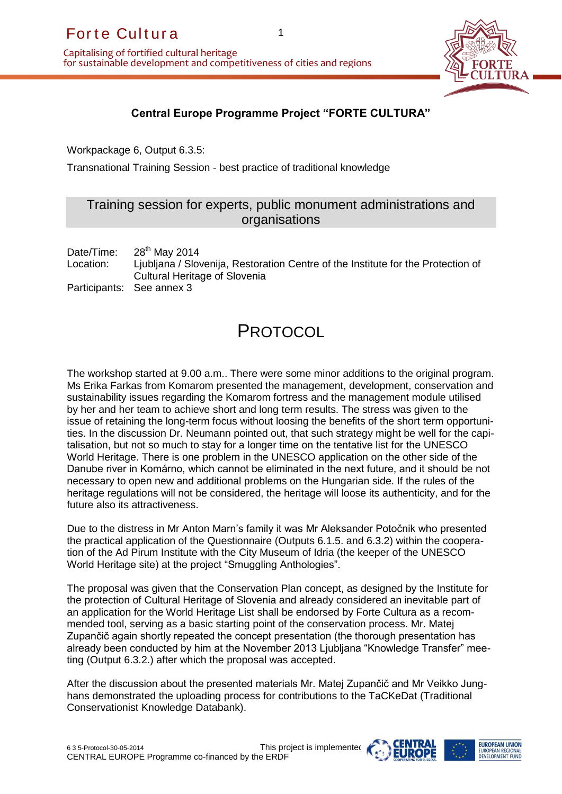Capitalising of fortified cultural heritage for sustainable development and competitiveness of cities and regions



## **Central Europe Programme Project "FORTE CULTURA"**

1

Workpackage 6, Output 6.3.5:

Transnational Training Session - best practice of traditional knowledge

## Training session for experts, public monument administrations and organisations

Date/Time:  $28<sup>th</sup>$  May 2014 Location: Ljubljana / Slovenija, Restoration Centre of the Institute for the Protection of Cultural Heritage of Slovenia Participants: See annex 3

# **PROTOCOL**

For the Cultura and continual heritage<br>
anytalising of fortified cultural heritage<br>
or sustainable development and competitiveness c<br>
contrail Europe Programme P<br>
Workpackage 6, Output 6.3.5:<br>
Transnational Training Sessio The workshop started at 9.00 a.m.. There were some minor additions to the original program. Ms Erika Farkas from Komarom presented the management, development, conservation and sustainability issues regarding the Komarom fortress and the management module utilised by her and her team to achieve short and long term results. The stress was given to the issue of retaining the long-term focus without loosing the benefits of the short term opportunities. In the discussion Dr. Neumann pointed out, that such strategy might be well for the capitalisation, but not so much to stay for a longer time on the tentative list for the UNESCO World Heritage. There is one problem in the UNESCO application on the other side of the Danube river in Komárno, which cannot be eliminated in the next future, and it should be not necessary to open new and additional problems on the Hungarian side. If the rules of the heritage regulations will not be considered, the heritage will loose its authenticity, and for the future also its attractiveness.

Due to the distress in Mr Anton Marn's family it was Mr Aleksander Potočnik who presented the practical application of the Questionnaire (Outputs 6.1.5. and 6.3.2) within the cooperation of the Ad Pirum Institute with the City Museum of Idria (the keeper of the UNESCO World Heritage site) at the project "Smuggling Anthologies".

The proposal was given that the Conservation Plan concept, as designed by the Institute for the protection of Cultural Heritage of Slovenia and already considered an inevitable part of an application for the World Heritage List shall be endorsed by Forte Cultura as a recommended tool, serving as a basic starting point of the conservation process. Mr. Matej Zupančič again shortly repeated the concept presentation (the thorough presentation has already been conducted by him at the November 2013 Ljubljana "Knowledge Transfer" meeting (Output 6.3.2.) after which the proposal was accepted.

After the discussion about the presented materials Mr. Matej Zupančič and Mr Veikko Junghans demonstrated the uploading process for contributions to the TaCKeDat (Traditional Conservationist Knowledge Databank).



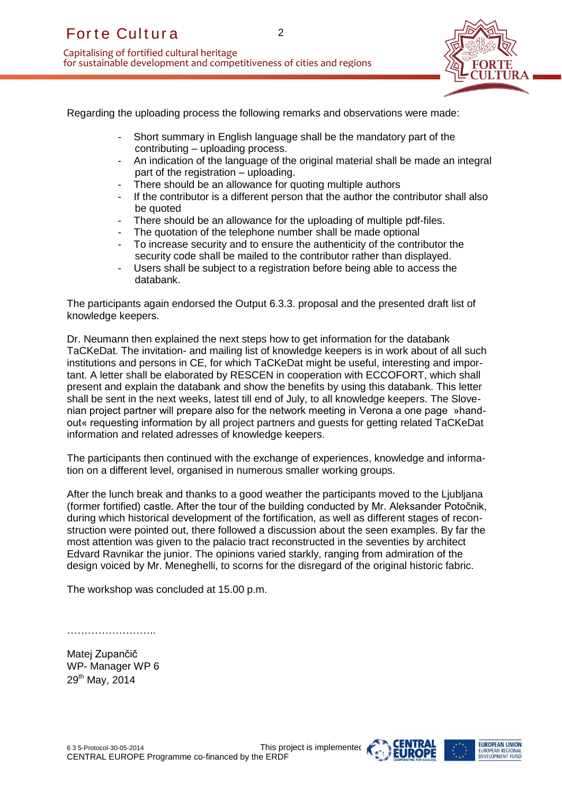Capitalising of fortified cultural heritage for sustainable development and competitiveness of cities and regions



Regarding the uploading process the following remarks and observations were made:

- Short summary in English language shall be the mandatory part of the contributing – uploading process.

2

- An indication of the language of the original material shall be made an integral part of the registration – uploading.
- There should be an allowance for quoting multiple authors
- If the contributor is a different person that the author the contributor shall also be quoted
- There should be an allowance for the uploading of multiple pdf-files.
- The quotation of the telephone number shall be made optional
- To increase security and to ensure the authenticity of the contributor the security code shall be mailed to the contributor rather than displayed.
- Users shall be subject to a registration before being able to access the databank.

The participants again endorsed the Output 6.3.3. proposal and the presented draft list of knowledge keepers.

For the Cultura and completions of control in the state of the state of the state of the state of the state of the state of the contribution of the language of the particle during up to the registration of the language of Dr. Neumann then explained the next steps how to get information for the databank TaCKeDat. The invitation- and mailing list of knowledge keepers is in work about of all such institutions and persons in CE, for which TaCKeDat might be useful, interesting and important. A letter shall be elaborated by RESCEN in cooperation with ECCOFORT, which shall present and explain the databank and show the benefits by using this databank. This letter shall be sent in the next weeks, latest till end of July, to all knowledge keepers. The Slovenian project partner will prepare also for the network meeting in Verona a one page »handout« requesting information by all project partners and guests for getting related TaCKeDat information and related adresses of knowledge keepers.

The participants then continued with the exchange of experiences, knowledge and information on a different level, organised in numerous smaller working groups.

After the lunch break and thanks to a good weather the participants moved to the Ljubljana (former fortified) castle. After the tour of the building conducted by Mr. Aleksander Potočnik, during which historical development of the fortification, as well as different stages of reconstruction were pointed out, there followed a discussion about the seen examples. By far the most attention was given to the palacio tract reconstructed in the seventies by architect Edvard Ravnikar the junior. The opinions varied starkly, ranging from admiration of the design voiced by Mr. Meneghelli, to scorns for the disregard of the original historic fabric.

The workshop was concluded at 15.00 p.m.

……………………..

Matej Zupančič WP- Manager WP 6 29<sup>th</sup> May, 2014